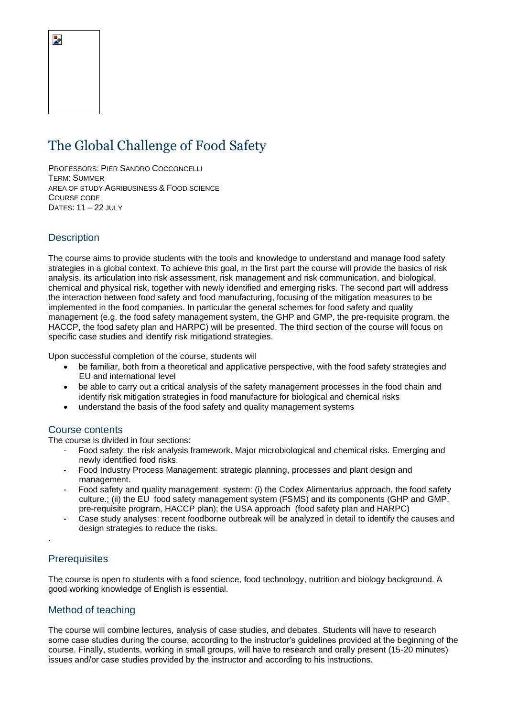# The Global Challenge of Food Safety

PROFESSORS: PIER SANDRO COCCONCELLI TERM: SUMMER AREA OF STUDY AGRIBUSINESS & FOOD SCIENCE COURSE CODE DATES: 11 – 22 JULY

## **Description**

The course aims to provide students with the tools and knowledge to understand and manage food safety strategies in a global context. To achieve this goal, in the first part the course will provide the basics of risk analysis, its articulation into risk assessment, risk management and risk communication, and biological, chemical and physical risk, together with newly identified and emerging risks. The second part will address the interaction between food safety and food manufacturing, focusing of the mitigation measures to be implemented in the food companies. In particular the general schemes for food safety and quality management (e.g. the food safety management system, the GHP and GMP, the pre-requisite program, the HACCP, the food safety plan and HARPC) will be presented. The third section of the course will focus on specific case studies and identify risk mitigationd strategies.

Upon successful completion of the course, students will

- be familiar, both from a theoretical and applicative perspective, with the food safety strategies and EU and international level
- be able to carry out a critical analysis of the safety management processes in the food chain and identify risk mitigation strategies in food manufacture for biological and chemical risks
- understand the basis of the food safety and quality management systems

#### Course contents

The course is divided in four sections:

- Food safety: the risk analysis framework. Major microbiological and chemical risks. Emerging and newly identified food risks.
- Food Industry Process Management: strategic planning, processes and plant design and management.
- Food safety and quality management system: (i) the Codex Alimentarius approach, the food safety culture.; (ii) the EU food safety management system (FSMS) and its components (GHP and GMP, pre-requisite program, HACCP plan); the USA approach (food safety plan and HARPC)
- Case study analyses: recent foodborne outbreak will be analyzed in detail to identify the causes and design strategies to reduce the risks.

#### **Prerequisites**

.

The course is open to students with a food science, food technology, nutrition and biology background. A good working knowledge of English is essential.

#### Method of teaching

The course will combine lectures, analysis of case studies, and debates. Students will have to research some case studies during the course, according to the instructor's guidelines provided at the beginning of the course. Finally, students, working in small groups, will have to research and orally present (15-20 minutes) issues and/or case studies provided by the instructor and according to his instructions.

Þ.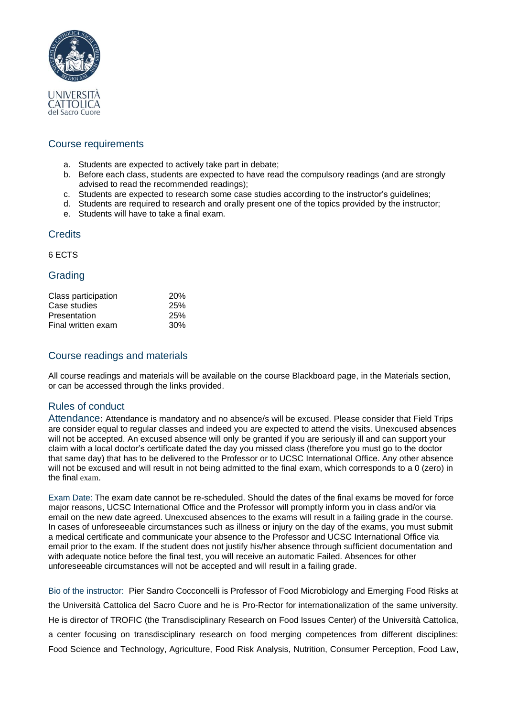

## Course requirements

- a. Students are expected to actively take part in debate;
- b. Before each class, students are expected to have read the compulsory readings (and are strongly advised to read the recommended readings);
- c. Students are expected to research some case studies according to the instructor's guidelines;
- d. Students are required to research and orally present one of the topics provided by the instructor;
- e. Students will have to take a final exam.

## **Credits**

6 ECTS

## Grading

| Class participation | <b>20%</b> |
|---------------------|------------|
| Case studies        | 25%        |
| Presentation        | 25%        |
| Final written exam  | 30%        |

## Course readings and materials

All course readings and materials will be available on the course Blackboard page, in the Materials section, or can be accessed through the links provided.

## Rules of conduct

Attendance: Attendance is mandatory and no absence/s will be excused. Please consider that Field Trips are consider equal to regular classes and indeed you are expected to attend the visits. Unexcused absences will not be accepted. An excused absence will only be granted if you are seriously ill and can support your claim with a local doctor's certificate dated the day you missed class (therefore you must go to the doctor that same day) that has to be delivered to the Professor or to UCSC International Office. Any other absence will not be excused and will result in not being admitted to the final exam, which corresponds to a 0 (zero) in the final exam.

Exam Date: The exam date cannot be re-scheduled. Should the dates of the final exams be moved for force major reasons, UCSC International Office and the Professor will promptly inform you in class and/or via email on the new date agreed. Unexcused absences to the exams will result in a failing grade in the course. In cases of unforeseeable circumstances such as illness or injury on the day of the exams, you must submit a medical certificate and communicate your absence to the Professor and UCSC International Office via email prior to the exam. If the student does not justify his/her absence through sufficient documentation and with adequate notice before the final test, you will receive an automatic Failed. Absences for other unforeseeable circumstances will not be accepted and will result in a failing grade.

Bio of the instructor: Pier Sandro Cocconcelli is Professor of Food Microbiology and Emerging Food Risks at the Università Cattolica del Sacro Cuore and he is Pro-Rector for internationalization of the same university. He is director of TROFIC (the Transdisciplinary Research on Food Issues Center) of the Università Cattolica, a center focusing on transdisciplinary research on food merging competences from different disciplines: Food Science and Technology, Agriculture, Food Risk Analysis, Nutrition, Consumer Perception, Food Law,